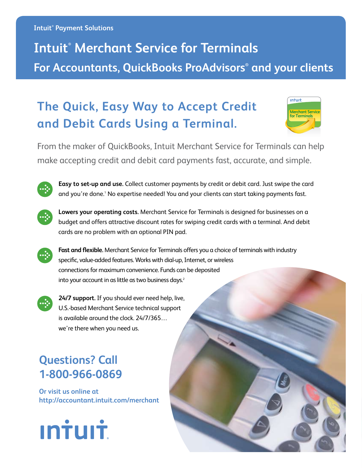#### **Intuit® Payment Solutions**

# **Intuit® Merchant Service for Terminals For Accountants, QuickBooks ProAdvisors® and your clients**

## **The Quick, Easy Way to Accept Credit and Debit Cards Using a Terminal.**



From the maker of QuickBooks, Intuit Merchant Service for Terminals can help make accepting credit and debit card payments fast, accurate, and simple.



**Easy to set-up and use.** Collect customer payments by credit or debit card. Just swipe the card and you're done.<sup>1</sup> No expertise needed! You and your clients can start taking payments fast.



**Lowers your operating costs.** Merchant Service for Terminals is designed for businesses on a budget and offers attractive discount rates for swiping credit cards with a terminal. And debit cards are no problem with an optional PIN pad.



**Fast and flexible.** Merchant Service for Terminals offers you a choice of terminals with industry specific, value-added features. Works with dial-up, Internet, or wireless connections for maximum convenience. Funds can be deposited into your account in as little as two business days.<sup>2</sup>



**24/7 support.** If you should ever need help, live, U.S.-based Merchant Service technical support is available around the clock. 24/7/365… we're there when you need us.

## **Questions? Call 1-800-966-0869**

**Or visit us online at http://accountant.intuit.com/merchant**

**Intuit**